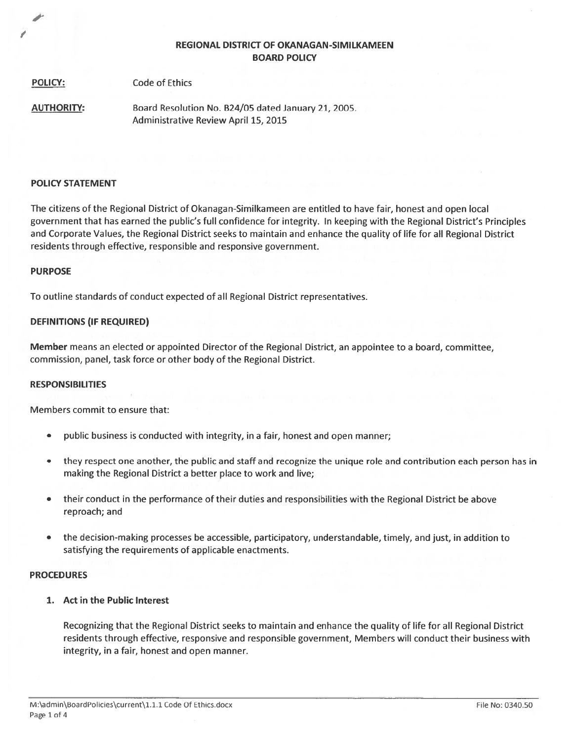# REGIONAL DISTRICT OF OKANAGAN-SIMILKAMEEN BOARD POLICY

| <b>POLICY:</b> | <b>Code of Ethics</b> |
|----------------|-----------------------|
|                |                       |

AUTHORITY: Board Resolution No. 824/05 dated January 21, 2005. Administrative Review April 15, 2015

## POLICY STATEMENT

The citizens of the Regional District of Okanagan-Similkameen are entitled to have fair, honest and open local governmen<sup>t</sup> that has earned the public's full confidence for integrity. In keeping with the Regional District's Principles and Corporate Values, the Regional District seeks to maintain and enhance the quality of life for all Regional District residents through effective, responsible and responsive government.

# PURPOSE

To outline standards of conduct expected of all Regional District representatives.

# DEFINITIONS (IF REQUIRED)

Member means an elected or appointed Director of the Regional District, an appointee to <sup>a</sup> board, committee, commission, panel, task force or other body of the Regional District.

## RESPONSIBILITIES

Members commit to ensure that:

- •public business is conducted with integrity, in <sup>a</sup> fair, honest and open manner;
- • they respec<sup>t</sup> one another, the public and staff and recognize the unique role and contribution each person has in making the Regional District <sup>a</sup> better place to work and live;
- • their conduct in the performance of their duties and responsibilities with the Regional District be above reproach; and
- the decision-making processes be accessible, participatory, understandable, timely, and just, in addition to satisfying the requirements of applicable enactments.

## PROCEDURES

1. Act in the Public Interest

Recognizing that the Regional District seeks to maintain and enhance the quality of life for all Regional District residents through effective, responsive and responsible government, Members will conduct their business with integrity, in <sup>a</sup> fair, honest and open manner.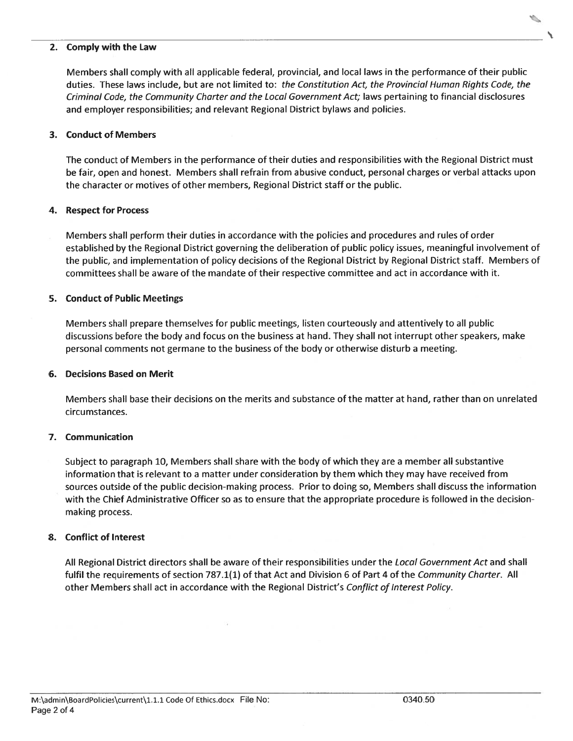#### 2.Comply with the Law

Members shall comply with all applicable federal, provincial, and local laws in the performance of their public duties. These laws include, but are not limited to: the Constitution Act, the Provincial Human Rights Code, the Criminal Code, the Community Charter and the Local Government Act; laws pertaining to financial disclosures and employer responsibilities; and relevant Regional District bylaws and policies.

# 3. Conduct of Members

The conduct of Members in the performance of their duties and responsibilities with the Regional District must be fair, open and honest. Members shall refrain from abusive conduct, personal charges or verbal attacks upor the character or motives of other members, Regional District staff or the public.

#### 4.Respect for Process

Members shall perform their duties in accordance with the policies and procedures and rules of order established by the Regional District governing the deliberation of public policy issues, meaningful involvement of the public, and implementation of policy decisions of the Regional District by Regional District staff. Members of committees shall be aware of the mandate of their respective committee and act in accordance with it.

# 5. Conduct of Public Meetings

Members shall prepare themselves for public meetings, listen courteously and attentively to all public discussions before the body and focus on the business at hand. They shall not interrupt other speakers, make personal comments not germane to the business of the body or otherwise disturb <sup>a</sup> meeting.

## 6. Decisions Based on Merit

Members shall base their decisions on the merits and substance of the matter at hand, rather than on unrelated circumstances.

# 7. Communication

Subject to paragraph 10, Members shall share with the body of which they are <sup>a</sup> member all substantive information that is relevant to <sup>a</sup> matter under consideration by them which they may have received from sources outside of the public decision-making process. Prior to doing so, Members shall discuss the information with the Chief Administrative Officer so as to ensure that the appropriate procedure is followed in the decisionmaking process.

## 8. Conflict of Interest

All Regional District directors shall be aware of their responsibilities under the *Local Government Act* and shall fulfil the requirements of section 787.1(1) of that Act and Division 6 of Part 4 of the Community Charter. All other Members shall act in accordance with the Regional District's Conflict of Interest Policy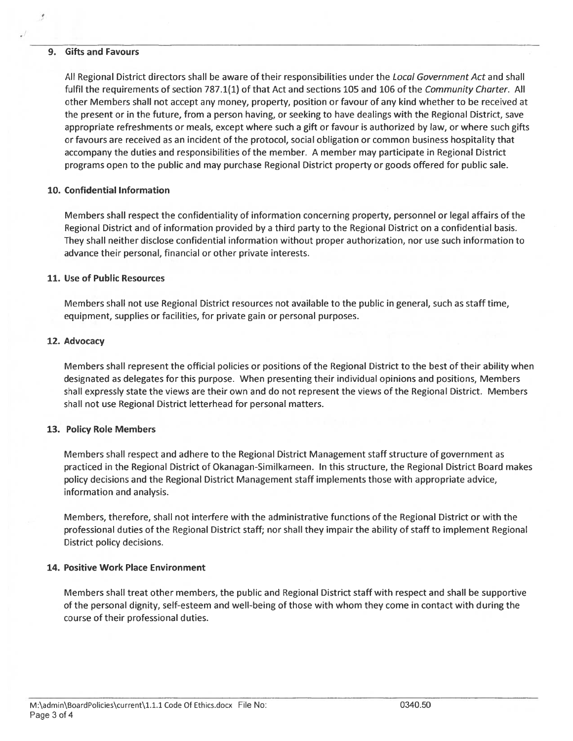## 9. Gifts and Favours

All Regional District directors shall be aware of their responsibilities under the Local Government Act and shall fulfil the requirements of section 787.1(1) of that Act and sections 105 and 106 of the Community Charter. All other Members shall not accep<sup>t</sup> any money, property, position or favour of any kind whether to be received at the presen<sup>t</sup> or in the future, from <sup>a</sup> person having, or seeking to have dealings with the Regional District, save appropriate refreshments or meals, excep<sup>t</sup> where such <sup>a</sup> gift or favour is authorized by law, or where such gifts or favours are received as an incident of the protocol, social obligation or common business hospitality that accompany the duties and responsibilities of the member. A member may participate in Regional District programs open to the public and may purchase Regional District property or goods offered for public sale.

## 10. Confidential Information

Members shall respec<sup>t</sup> the confidentiality of information concerning property, personnel or legal affairs of the Regional District and of information provided by <sup>a</sup> third party to the Regional District on <sup>a</sup> confidential basis. They shall neither disclose confidential information without proper authorization, nor use such information to advance their personal, financial or other private interests.

# 11. Use of Public Resources

Members shall not use Regional District resources not available to the public in general, such as staff time, equipment, supplies or facilities, for private gain or personal purposes.

# 12. Advocacy

Members shall represen<sup>t</sup> the official policies or positions of the Regional District to the best of their ability when designated as delegates for this purpose. When presenting their individual opinions and positions, Members shall expressly state the views are their own and do not represen<sup>t</sup> the views of the Regional District. Members shall not use Regional District letterhead for personal matters.

## 13. Policy Role Members

Members shall respec<sup>t</sup> and adhere to the Regional District Management staff structure of governmen<sup>t</sup> as practiced in the Regional District of Okanagan-Similkameen. In this structure, the Regional District Board makes policy decisions and the Regional District Management staff implements those with appropriate advice, information and analysis.

Members, therefore, shall not interfere with the administrative functions of the Regional District or with the professional duties of the Regional District staff; nor shall they impair the ability of staff to implement Regional District policy decisions.

# 14. Positive Work Place Environment

Members shall treat other members, the public and Regional District staff with respec<sup>t</sup> and shall be supportive of the personal dignity, self-esteem and well-being of those with whom they come in contact with during the course of their professional duties.